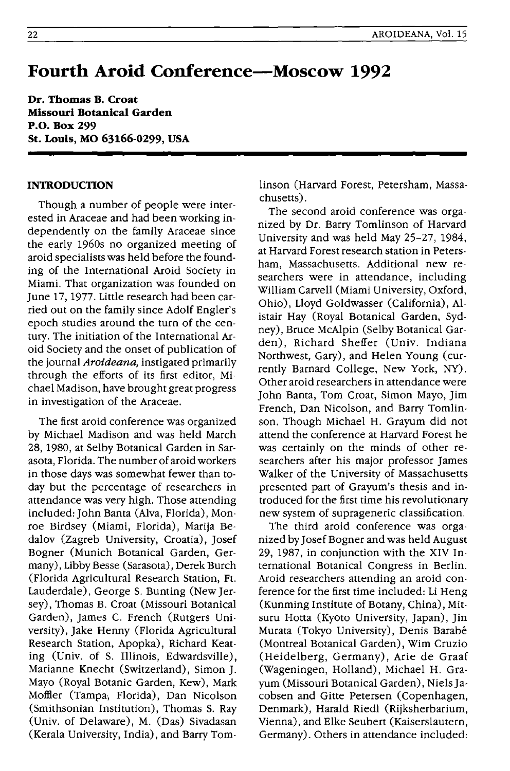## **Fourth Aroid Conference-Moscow 1992**

**Dr. Thomas B. Croat Missouri Botanical Garden P.O. Box 299 St. Louis, MO 63166-0299, USA** 

## **INTRODUCTION**

Though a number of people were interested in Araceae and had been working independently on the family Araceae since the early 1960s no organized meeting of aroid specialists was held before the founding of the International Aroid Society in Miami. That organization was founded on June 17, 1977. Little research had been carried out on the family since Adolf Engler's epoch studies around the turn of the century. The initiation of the International Aroid Society and the onset of publication of the journal *Aroideana*, instigated primarily through the efforts of its first editor, Michael Madison, have brought great progress in investigation of the Araceae.

The first aroid conference was organized by Michael Madison and was held March 28, 1980, at Selby Botanical Garden in Sarasota, Florida. The number of aroid workers in those days was somewhat fewer than today but the percentage of researchers in attendance was very high. Those attending included: John Banta (Alva, Florida), Monroe Birdsey (Miami, Florida), Marija Bedalov (Zagreb University, Croatia), Josef Bogner (Munich Botanical Garden, Germany), Libby Besse (Sarasota), Derek Burch (Florida Agricultural Research Station, Ft. Lauderdale), George S. Bunting (New Jersey), Thomas B. Croat (Missouri Botanical Garden), James C. French (Rutgers University), Jake Henny (Florida Agricultural Research Station, Apopka), Richard Keating (Univ. of S. Illinois, Edwardsville), Marianne Knecht (Switzerland), Simon J. Mayo (Royal Botanic Garden, Kew), Mark Moffler (Tampa, Florida), Dan Nicolson (Smithsonian Institution), Thomas S. Ray (Univ. of Delaware), M. (Das) Sivadasan (Kerala University, India), and Barry Tomlinson (Harvard Forest, Petersham, Massachusetts).

The second aroid conference was organized by Dr. Barry Tomlinson of Harvard University and was held May 25-27, 1984, at Harvard Forest research station in Petersham, Massachusetts. Additional new researchers were in attendance, including William Carvell (Miami University, Oxford, Ohio), Lloyd Goldwasser (California), Alistair Hay (Royal Botanical Garden, Sydney), Bruce McAlpin (Selby Botanical Garden), Richard Sheffer (Univ. Indiana Northwest, Gary), and Helen Young (currently Barnard College, New York, NY). Other aroid researchers in attendance were John Banta, Tom Croat, Simon Mayo, Jim French, Dan Nicolson, and Barry Tomlinson. Though Michael H. Grayum did not attend the conference at Harvard Forest he was certainly on the minds of other researchers after his major professor James Walker of the University of Massachusetts presented part of Grayum's thesis and introduced for the first time his revolutionary new system of suprageneric classification.

The third aroid conference was organized by Josef Bogner and was held August 29, 1987, in conjunction with the XIV International Botanical Congress in Berlin. Aroid researchers attending an aroid conference for the first time included: Li Heng (Kunming Institute of Botany, China), Mitsuru Hotta (Kyoto University, Japan), Jin Murata (Tokyo University), Denis Barabe (Montreal Botanical Garden), Wim Cruzio (Heidelberg, Germany), Arie de Graaf (Wageningen, Holland), Michael H. Grayum (Missouri Botanical Garden), Niels Jacobsen and Gitte Petersen (Copenhagen, Denmark), Harald Riedl (Rijksherbarium, Vienna), and Elke Seubert (Kaiserslautern, Germany). Others in attendance included: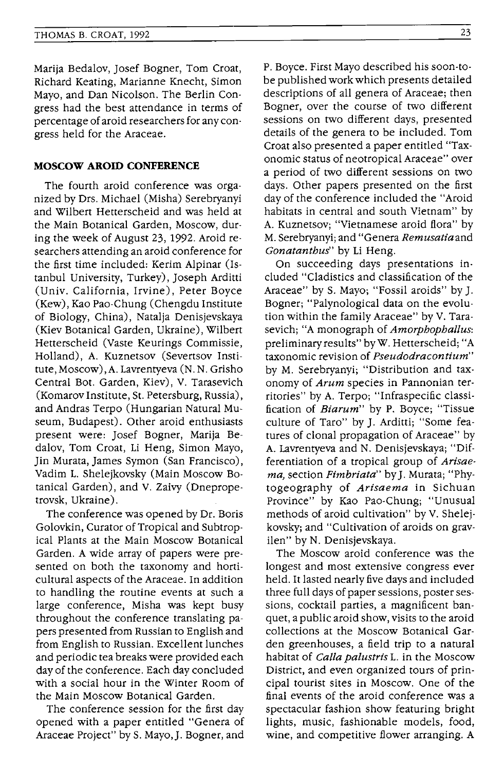Marija Bedalov, Josef Bogner, Tom Croat, Richard Keating, Marianne Knecht, Simon Mayo, and Dan Nicolson. The Berlin Congress had the best attendance in terms of percentage of aroid researchers for any congress held for the Araceae.

## **MOSCOW AROID CONFERENCE**

The fourth aroid conference was organized by Drs. Michael (Misha) Serebryanyi and Wilbert Hetterscheid and was held at the Main Botanical Garden, Moscow, during the week of August 23,1992. Aroid researchers attending an aroid conference for the first time included: Kerim Alpinar (Istanbul University, Turkey), Joseph Arditti (Univ. California, Irvine), Peter Boyce (Kew) , Kao Pao-Chung (Chengdu Institute of Biology, China), Natalja Denisjevskaya (Kiev Botanical Garden, Ukraine), Wilbert Hetterscheid (Vaste Keurings Commissie, Holland), A. Kuznetsov (Severtsov Institute, Moscow) ,A. Lavrentyeva (N. N. Grisho Central Bot. Garden, Kiev), V. Tarasevich (Komarov Institute, St. Petersburg, Russia), and Andras Terpo (Hungarian Natural Museum, Budapest). Other aroid enthusiasts present were: Josef Bogner, Marija Bedalov, Tom Croat, Li Heng, Simon Mayo, Jin Murata, James Symon (San Francisco), Vadim L. Shelejkovsky (Main Moscow Botanical Garden), and V. Zaivy (Dnepropetrovsk, Ukraine).

The conference was opened by Dr. Boris Golovkin, Curator of Tropical and Subtropical Plants at the Main Moscow Botanical Garden. A wide array of papers were presented on both the taxonomy and horticultural aspects of the Araceae. In addition to handling the routine events at such a large conference, Misha was kept busy throughout the conference translating papers presented from Russian to English and from English to Russian. Excellent lunches and periodic tea breaks were provided each day of the conference. Each day concluded with a social hour in the Winter Room of the Main Moscow Botanical Garden.

The conference session for the first day opened with a paper entitled "Genera of Araceae Project" by S. Mayo,J. Bogner, and P. Boyce. First Mayo described his soon-tobe published work which presents detailed descriptions of all genera of Araceae; then Bogner, over the course of two different sessions on two different days, presented details of the genera to be included. Tom Croat also presented a paper entitled "Taxonomic status of neotropical Araceae" over a period of two different sessions on two days. Other papers presented on the first day of the conference included the "Aroid habitats in central and south Vietnam" by A. Kuznetsov; "Vietnamese aroid flora" by M. Serebryanyi; and "Genera *Remusatiaand Gonatanthus'* by Li Heng.

On succeeding days presentations included "Cladistics and classification of the Araceae" by S. Mayo; "Fossil aroids" by J. Bogner; "Palynological data on the evolution within the family Araceae" by V. Tarasevich; "A monograph of *Amorphophallus:*  preliminary results" byW. Hetterscheid; "A taxonomic revision of *Pseudodracontium"*  by M. Serebryanyi; "Distribution and taxonomy of *Arum* species in Pannonian territories" by A. Terpo; "Infraspecific classification of *Biarum"* by P. Boyce; "Tissue culture of Taro" by J. Arditti; "Some features of clonal propagation of Araceae" by A. Lavrentyeva and N. Denisjevskaya; "Differentiation of a tropical group of *Arisaema,* section *Fimbriata"* byJ. Murata; "Phytogeography of *Arisaema* in Sichuan Province" by Kao Pao-Chung; "Unusual methods of aroid cultivation" by V. Shelejkovsky; and "Cultivation of aroids on gravilen" by N. Denisjevskaya.

The Moscow aroid conference was the longest and most extensive congress ever held. It lasted nearly five days and included three full days of paper sessions, poster sessions, cocktail parties, a magnificent banquet, a public aroid show, visits to the aroid collections at the Moscow Botanical Garden greenhouses, a field trip to a natural habitat of *Calla palustris* L. in the Moscow District, and even organized tours of principal tourist sites in Moscow. One of the final events of the aroid conference was a spectacular fashion show featuring bright lights, music, fashionable models, food, wine, and competitive flower arranging. A